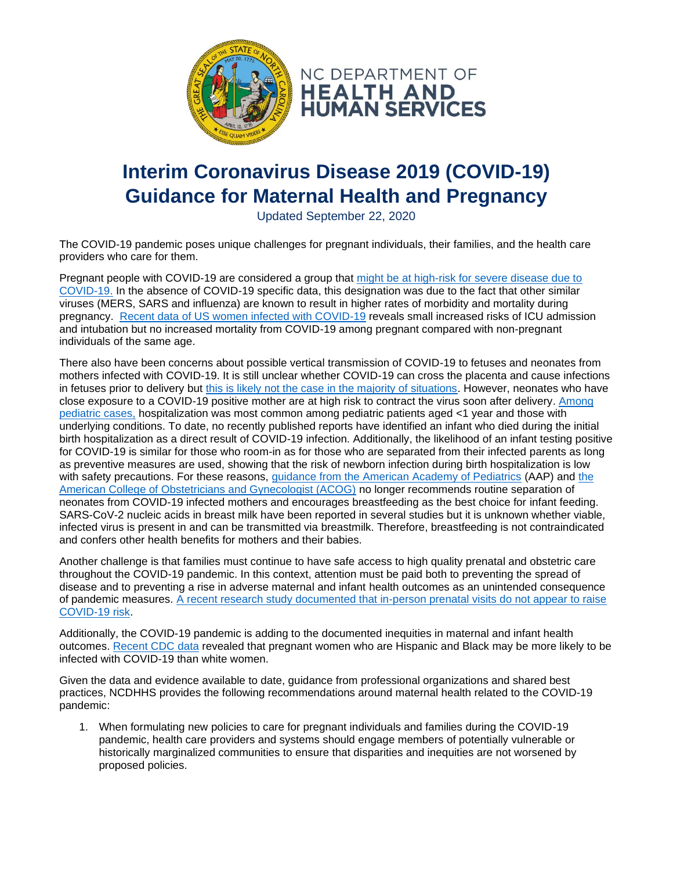

## **Interim Coronavirus Disease 2019 (COVID-19) Guidance for Maternal Health and Pregnancy**

Updated September 22, 2020

The COVID-19 pandemic poses unique challenges for pregnant individuals, their families, and the health care providers who care for them.

Pregnant people with COVID-19 are considered a group that [might be at high-risk for severe disease due to](https://www.cdc.gov/coronavirus/2019-ncov/need-extra-precautions/people-with-medical-conditions.html?CDC_AA_refVal=https%3A%2F%2Fwww.cdc.gov%2Fcoronavirus%2F2019-ncov%2Fneed-extra-precautions%2Fgroups-at-higher-risk.html#pregnancy)  [COVID-19.](https://www.cdc.gov/coronavirus/2019-ncov/need-extra-precautions/people-with-medical-conditions.html?CDC_AA_refVal=https%3A%2F%2Fwww.cdc.gov%2Fcoronavirus%2F2019-ncov%2Fneed-extra-precautions%2Fgroups-at-higher-risk.html#pregnancy) In the absence of COVID-19 specific data, this designation was due to the fact that other similar viruses (MERS, SARS and influenza) are known to result in higher rates of morbidity and mortality during pregnancy. [Recent data of US women infected with COVID-19](https://www.cdc.gov/mmwr/volumes/69/wr/mm6925a1.htm) reveals small increased risks of ICU admission and intubation but no increased mortality from COVID-19 among pregnant compared with non-pregnant individuals of the same age.

There also have been concerns about possible vertical transmission of COVID-19 to fetuses and neonates from mothers infected with COVID-19. It is still unclear whether COVID-19 can cross the placenta and cause infections in fetuses prior to delivery but [this is likely not the case in the majority of situations.](https://www.acog.org/clinical/clinical-guidance/practice-advisory/articles/2020/03/novel-coronavirus-2019) However, neonates who have close exposure to a COVID-19 positive mother are at high risk to contract the virus soon after delivery. [Among](https://www.cdc.gov/coronavirus/2019-ncov/hcp/pediatric-hcp.html)  [pediatric cases,](https://www.cdc.gov/coronavirus/2019-ncov/hcp/pediatric-hcp.html) hospitalization was most common among pediatric patients aged <1 year and those with underlying conditions. To date, no recently published reports have identified an infant who died during the initial birth hospitalization as a direct result of COVID-19 infection. Additionally, the likelihood of an infant testing positive for COVID-19 is similar for those who room-in as for those who are separated from their infected parents as long as preventive measures are used, showing that the risk of newborn infection during birth hospitalization is low with safety precautions. For these reasons, [guidance from the American Academy of Pediatrics](https://services.aap.org/en/pages/2019-novel-coronavirus-covid-19-infections/clinical-guidance/faqs-management-of-infants-born-to-covid-19-mothers/) (AAP) and the [American College of Obstetricians and Gynecologist \(ACOG\)](https://www.acog.org/clinical/clinical-guidance/practice-advisory/articles/2020/03/novel-coronavirus-2019) no longer recommends routine separation of neonates from COVID-19 infected mothers and encourages breastfeeding as the best choice for infant feeding. SARS-CoV-2 nucleic acids in breast milk have been reported in several studies but it is unknown whether viable, infected virus is present in and can be transmitted via breastmilk. Therefore, breastfeeding is not contraindicated and confers other health benefits for mothers and their babies.

Another challenge is that families must continue to have safe access to high quality prenatal and obstetric care throughout the COVID-19 pandemic. In this context, attention must be paid both to preventing the spread of disease and to preventing a rise in adverse maternal and infant health outcomes as an unintended consequence of pandemic measures. [A recent research study documented that in-person prenatal visits do not appear to raise](https://jamanetwork.com/journals/jama/fullarticle/2769678)  [COVID-19 risk.](https://jamanetwork.com/journals/jama/fullarticle/2769678)

Additionally, the COVID-19 pandemic is adding to the documented inequities in maternal and infant health outcomes. [Recent CDC data](https://www.cdc.gov/mmwr/volumes/69/wr/mm6925a1.htm) revealed that pregnant women who are Hispanic and Black may be more likely to be infected with COVID-19 than white women.

Given the data and evidence available to date, guidance from professional organizations and shared best practices, NCDHHS provides the following recommendations around maternal health related to the COVID-19 pandemic:

1. When formulating new policies to care for pregnant individuals and families during the COVID-19 pandemic, health care providers and systems should engage members of potentially vulnerable or historically marginalized communities to ensure that disparities and inequities are not worsened by proposed policies.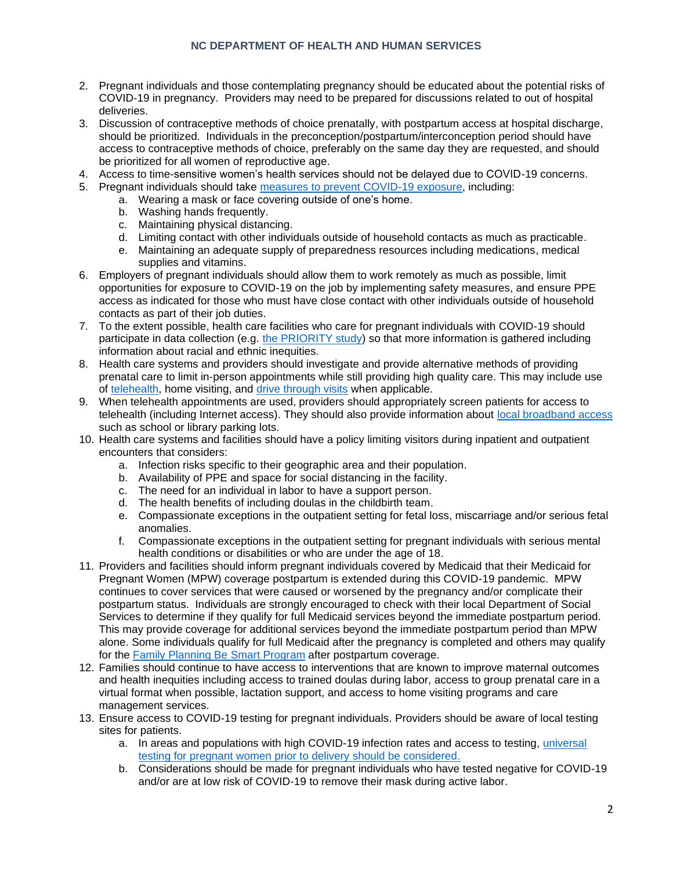## **NC DEPARTMENT OF HEALTH AND HUMAN SERVICES**

- 2. Pregnant individuals and those contemplating pregnancy should be educated about the potential risks of COVID-19 in pregnancy. Providers may need to be prepared for discussions related to out of hospital deliveries.
- 3. Discussion of contraceptive methods of choice prenatally, with postpartum access at hospital discharge, should be prioritized. Individuals in the preconception/postpartum/interconception period should have access to contraceptive methods of choice, preferably on the same day they are requested, and should be prioritized for all women of reproductive age.
- 4. Access to time-sensitive women's health services should not be delayed due to COVID-19 concerns.
- 5. Pregnant individuals should take [measures to prevent COVID-19 exposure,](https://covid19.ncdhhs.gov/materials-resources/know-your-ws-wear-wait-wash) including:
	- a. Wearing a mask or face covering outside of one's home.
	- b. Washing hands frequently.
	- c. Maintaining physical distancing.
	- d. Limiting contact with other individuals outside of household contacts as much as practicable.
	- e. Maintaining an adequate supply of preparedness resources including medications, medical supplies and vitamins.
- 6. Employers of pregnant individuals should allow them to work remotely as much as possible, limit opportunities for exposure to COVID-19 on the job by implementing safety measures, and ensure PPE access as indicated for those who must have close contact with other individuals outside of household contacts as part of their job duties.
- 7. To the extent possible, health care facilities who care for pregnant individuals with COVID-19 should participate in data collection (e.g. [the PRIORITY study\)](https://priority.ucsf.edu/) so that more information is gathered including information about racial and ethnic inequities.
- 8. Health care systems and providers should investigate and provide alternative methods of providing prenatal care to limit in-person appointments while still providing high quality care. This may include use of [telehealth,](https://www.acog.org/clinical-information/physician-faqs/covid-19-faqs-for-ob-gyns-telehealth) home visiting, and [drive through visits](https://journals.lww.com/greenjournal/fulltext/2020/07000/rapid_deployment_of_a_drive_through_prenatal_care.7.aspx) when applicable.
- 9. When telehealth appointments are used, providers should appropriately screen patients for access to telehealth (including Internet access). They should also provide information about [local broadband access](https://www.ncbroadband.gov/covid-19) such as school or library parking lots.
- 10. Health care systems and facilities should have a policy limiting visitors during inpatient and outpatient encounters that considers:
	- a. Infection risks specific to their geographic area and their population.
	- b. Availability of PPE and space for social distancing in the facility.
	- c. The need for an individual in labor to have a support person.
	- d. The health benefits of including doulas in the childbirth team.
	- e. Compassionate exceptions in the outpatient setting for fetal loss, miscarriage and/or serious fetal anomalies.
	- f. Compassionate exceptions in the outpatient setting for pregnant individuals with serious mental health conditions or disabilities or who are under the age of 18.
- 11. Providers and facilities should inform pregnant individuals covered by Medicaid that their Medicaid for Pregnant Women (MPW) coverage postpartum is extended during this COVID-19 pandemic. MPW continues to cover services that were caused or worsened by the pregnancy and/or complicate their postpartum status. Individuals are strongly encouraged to check with their local Department of Social Services to determine if they qualify for full Medicaid services beyond the immediate postpartum period. This may provide coverage for additional services beyond the immediate postpartum period than MPW alone. Some individuals qualify for full Medicaid after the pregnancy is completed and others may qualify for the [Family Planning Be Smart Program](https://medicaid.ncdhhs.gov/beneficiaries/get-started/find-programs-and-services/be-smart-family-planning-program) after postpartum coverage.
- 12. Families should continue to have access to interventions that are known to improve maternal outcomes and health inequities including access to trained doulas during labor, access to group prenatal care in a virtual format when possible, lactation support, and access to home visiting programs and care management services.
- 13. Ensure access to COVID-19 testing for pregnant individuals. Providers should be aware of local testing sites for patients.
	- a. In areas and populations with high COVID-19 infection rates and access to testing, [universal](https://journals.lww.com/greenjournal/Fulltext/2020/08000/Is_Universal_Testing_for_Severe_Acute_Respiratory.1.aspx)  [testing for pregnant women prior to delivery should be considered.](https://journals.lww.com/greenjournal/Fulltext/2020/08000/Is_Universal_Testing_for_Severe_Acute_Respiratory.1.aspx)
	- b. Considerations should be made for pregnant individuals who have tested negative for COVID-19 and/or are at low risk of COVID-19 to remove their mask during active labor.